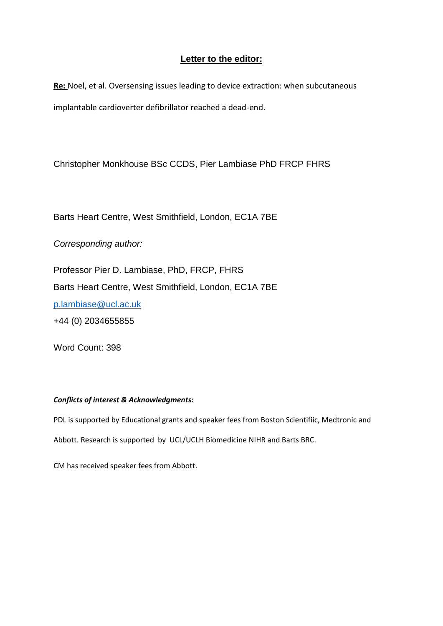## **Letter to the editor:**

**Re:** Noel, et al. Oversensing issues leading to device extraction: when subcutaneous implantable cardioverter defibrillator reached a dead-end.

Christopher Monkhouse BSc CCDS, Pier Lambiase PhD FRCP FHRS

Barts Heart Centre, West Smithfield, London, EC1A 7BE

*Corresponding author:*

Professor Pier D. Lambiase, PhD, FRCP, FHRS Barts Heart Centre, West Smithfield, London, EC1A 7BE p.lambiase@ucl.ac.uk +44 (0) 2034655855

Word Count: 398

## *Conflicts of interest & Acknowledgments:*

PDL is supported by Educational grants and speaker fees from Boston Scientifiic, Medtronic and Abbott. Research is supported by UCL/UCLH Biomedicine NIHR and Barts BRC.

CM has received speaker fees from Abbott.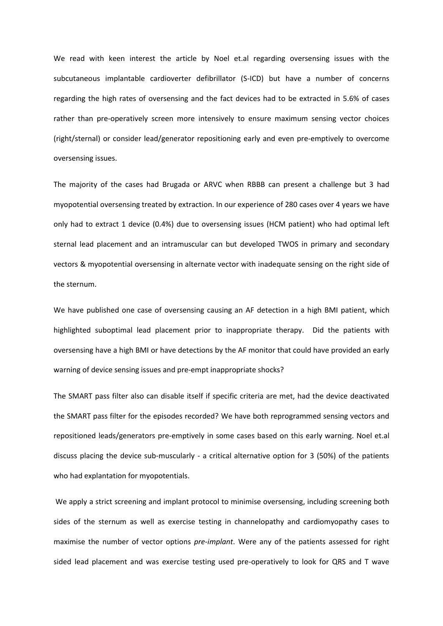We read with keen interest the article by Noel et.al regarding oversensing issues with the subcutaneous implantable cardioverter defibrillator (S-ICD) but have a number of concerns regarding the high rates of oversensing and the fact devices had to be extracted in 5.6% of cases rather than pre-operatively screen more intensively to ensure maximum sensing vector choices (right/sternal) or consider lead/generator repositioning early and even pre-emptively to overcome oversensing issues.

The majority of the cases had Brugada or ARVC when RBBB can present a challenge but 3 had myopotential oversensing treated by extraction. In our experience of 280 cases over 4 years we have only had to extract 1 device (0.4%) due to oversensing issues (HCM patient) who had optimal left sternal lead placement and an intramuscular can but developed TWOS in primary and secondary vectors & myopotential oversensing in alternate vector with inadequate sensing on the right side of the sternum.

We have published one case of oversensing causing an AF detection in a high BMI patient, which highlighted suboptimal lead placement prior to inappropriate therapy. Did the patients with oversensing have a high BMI or have detections by the AF monitor that could have provided an early warning of device sensing issues and pre-empt inappropriate shocks?

The SMART pass filter also can disable itself if specific criteria are met, had the device deactivated the SMART pass filter for the episodes recorded? We have both reprogrammed sensing vectors and repositioned leads/generators pre-emptively in some cases based on this early warning. Noel et.al discuss placing the device sub-muscularly - a critical alternative option for 3 (50%) of the patients who had explantation for myopotentials.

We apply a strict screening and implant protocol to minimise oversensing, including screening both sides of the sternum as well as exercise testing in channelopathy and cardiomyopathy cases to maximise the number of vector options *pre-implant*. Were any of the patients assessed for right sided lead placement and was exercise testing used pre-operatively to look for QRS and T wave